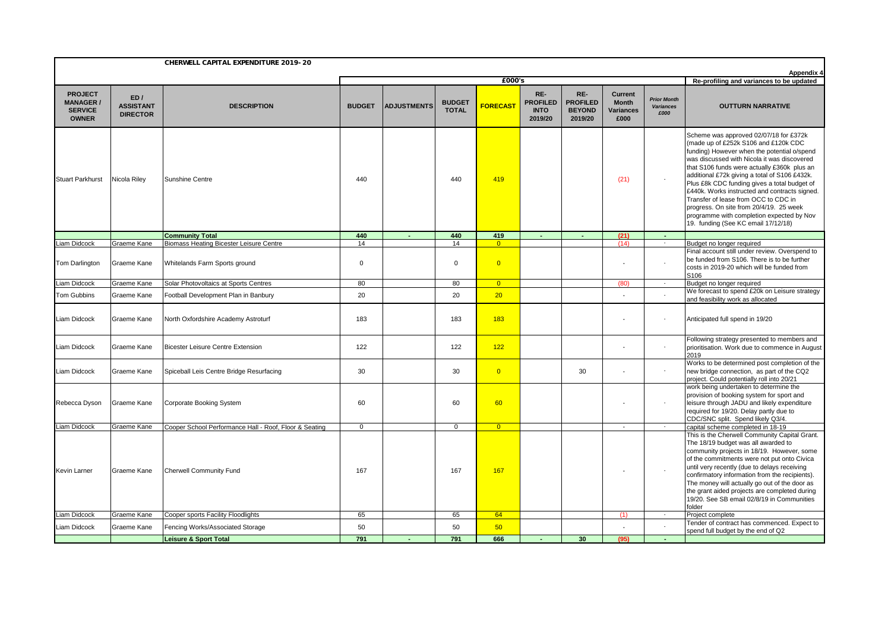|                                                                      | CHERWELL CAPITAL EXPENDITURE 2019-20<br><b>Appendix 4</b> |                                                                                 |                |                    |                               |                                  |                                                  |                                                    |                                                            |                                                |                                                                                                                                                                                                                                                                                                                                                                                                                                                                                                                                                      |  |  |  |
|----------------------------------------------------------------------|-----------------------------------------------------------|---------------------------------------------------------------------------------|----------------|--------------------|-------------------------------|----------------------------------|--------------------------------------------------|----------------------------------------------------|------------------------------------------------------------|------------------------------------------------|------------------------------------------------------------------------------------------------------------------------------------------------------------------------------------------------------------------------------------------------------------------------------------------------------------------------------------------------------------------------------------------------------------------------------------------------------------------------------------------------------------------------------------------------------|--|--|--|
|                                                                      |                                                           |                                                                                 |                |                    |                               | £000's                           |                                                  |                                                    |                                                            |                                                | Re-profiling and variances to be updated                                                                                                                                                                                                                                                                                                                                                                                                                                                                                                             |  |  |  |
| <b>PROJECT</b><br><b>MANAGER /</b><br><b>SERVICE</b><br><b>OWNER</b> | ED/<br><b>ASSISTANT</b><br><b>DIRECTOR</b>                | <b>DESCRIPTION</b>                                                              | <b>BUDGET</b>  | <b>ADJUSTMENTS</b> | <b>BUDGET</b><br><b>TOTAL</b> | <b>FORECAST</b>                  | RE-<br><b>PROFILED</b><br><b>INTO</b><br>2019/20 | RE-<br><b>PROFILED</b><br><b>BEYOND</b><br>2019/20 | <b>Current</b><br><b>Month</b><br><b>Variances</b><br>£000 | <b>Prior Month</b><br><b>Variances</b><br>£000 | <b>OUTTURN NARRATIVE</b>                                                                                                                                                                                                                                                                                                                                                                                                                                                                                                                             |  |  |  |
| <b>Stuart Parkhurst</b>                                              | Nicola Riley                                              | Sunshine Centre                                                                 | 440            |                    | 440                           | 419                              |                                                  |                                                    | (21)                                                       | $\overline{a}$                                 | Scheme was approved 02/07/18 for £372k<br>(made up of £252k S106 and £120k CDC<br>funding) However when the potential o/spend<br>was discussed with Nicola it was discovered<br>that S106 funds were actually £360k plus an<br>additional £72k giving a total of S106 £432k.<br>Plus £8k CDC funding gives a total budget of<br>£440k. Works instructed and contracts signed.<br>Transfer of lease from OCC to CDC in<br>progress. On site from 20/4/19. 25 week<br>programme with completion expected by Nov<br>19. funding (See KC email 17/12/18) |  |  |  |
|                                                                      |                                                           | <b>Community Total</b>                                                          | 440            | $\sim$             | 440                           | 419                              | $\sim$                                           | $\sim$                                             | (21)                                                       | <b>Section</b>                                 |                                                                                                                                                                                                                                                                                                                                                                                                                                                                                                                                                      |  |  |  |
| Liam Didcock<br>Tom Darlington                                       | Graeme Kane<br>Graeme Kane                                | <b>Biomass Heating Bicester Leisure Centre</b><br>Whitelands Farm Sports ground | 14<br>$\Omega$ |                    | 14<br>$\mathsf 0$             | $\overline{0}$<br>$\overline{0}$ |                                                  |                                                    | (14)                                                       | $\sim$<br>$\overline{a}$                       | Budget no longer required<br>Final account still under review. Overspend to<br>be funded from S106. There is to be further<br>costs in 2019-20 which will be funded from<br>S106                                                                                                                                                                                                                                                                                                                                                                     |  |  |  |
| iam Didcock                                                          | Graeme Kane                                               | Solar Photovoltaics at Sports Centres                                           | 80             |                    | 80                            | $\overline{0}$                   |                                                  |                                                    | (80)                                                       | $\sim$                                         | Budget no longer required                                                                                                                                                                                                                                                                                                                                                                                                                                                                                                                            |  |  |  |
| <b>Tom Gubbins</b>                                                   | Graeme Kane                                               | Football Development Plan in Banbury                                            | 20             |                    | 20                            | 20                               |                                                  |                                                    |                                                            |                                                | We forecast to spend £20k on Leisure strategy<br>and feasibility work as allocated                                                                                                                                                                                                                                                                                                                                                                                                                                                                   |  |  |  |
| Liam Didcock                                                         | Graeme Kane                                               | North Oxfordshire Academy Astroturf                                             | 183            |                    | 183                           | 183                              |                                                  |                                                    |                                                            | $\overline{\phantom{a}}$                       | Anticipated full spend in 19/20                                                                                                                                                                                                                                                                                                                                                                                                                                                                                                                      |  |  |  |
| Liam Didcock                                                         | Graeme Kane                                               | <b>Bicester Leisure Centre Extension</b>                                        | 122            |                    | 122                           | 122                              |                                                  |                                                    |                                                            | $\sim$                                         | Following strategy presented to members and<br>prioritisation. Work due to commence in August<br>2019                                                                                                                                                                                                                                                                                                                                                                                                                                                |  |  |  |
| Liam Didcock                                                         | Graeme Kane                                               | Spiceball Leis Centre Bridge Resurfacing                                        | 30             |                    | 30                            | $\overline{0}$                   |                                                  | 30                                                 |                                                            | $\sim$                                         | Works to be determined post completion of the<br>new bridge connection, as part of the CQ2<br>project. Could potentially roll into 20/21                                                                                                                                                                                                                                                                                                                                                                                                             |  |  |  |
| Rebecca Dyson                                                        | Graeme Kane                                               | Corporate Booking System                                                        | 60             |                    | 60                            | 60                               |                                                  |                                                    | $\overline{\phantom{a}}$                                   | $\overline{\phantom{a}}$                       | work being undertaken to determine the<br>provision of booking system for sport and<br>leisure through JADU and likely expenditure<br>required for 19/20. Delay partly due to<br>CDC/SNC split. Spend likely Q3/4.                                                                                                                                                                                                                                                                                                                                   |  |  |  |
| Liam Didcock                                                         | Graeme Kane                                               | Cooper School Performance Hall - Roof, Floor & Seating                          | $\mathbf{0}$   |                    | $\mathbf 0$                   | $\overline{0}$                   |                                                  |                                                    | $\overline{\phantom{a}}$                                   | $\sim$                                         | capital scheme completed in 18-19                                                                                                                                                                                                                                                                                                                                                                                                                                                                                                                    |  |  |  |
| <b>Kevin Larner</b>                                                  | Graeme Kane                                               | <b>Cherwell Community Fund</b>                                                  | 167            |                    | 167                           | 167                              |                                                  |                                                    |                                                            | $\overline{a}$                                 | This is the Cherwell Community Capital Grant.<br>The 18/19 budget was all awarded to<br>community projects in 18/19. However, some<br>of the commitments were not put onto Civica<br>until very recently (due to delays receiving<br>confirmatory information from the recipients).<br>The money will actually go out of the door as<br>the grant aided projects are completed during<br>19/20. See SB email 02/8/19 in Communities<br>folder                                                                                                        |  |  |  |
| Liam Didcock                                                         | Graeme Kane                                               | Cooper sports Facility Floodlights                                              | 65             |                    | 65                            | 64                               |                                                  |                                                    | (1)                                                        | $\sim$                                         | Project complete                                                                                                                                                                                                                                                                                                                                                                                                                                                                                                                                     |  |  |  |
| Liam Didcock                                                         | Graeme Kane                                               | Fencing Works/Associated Storage                                                | 50             |                    | 50                            | 50                               |                                                  |                                                    |                                                            |                                                | Tender of contract has commenced. Expect to<br>spend full budget by the end of Q2                                                                                                                                                                                                                                                                                                                                                                                                                                                                    |  |  |  |
|                                                                      |                                                           | <b>Leisure &amp; Sport Total</b>                                                | 791            |                    | 791                           | 666                              |                                                  | 30                                                 | (95)                                                       |                                                |                                                                                                                                                                                                                                                                                                                                                                                                                                                                                                                                                      |  |  |  |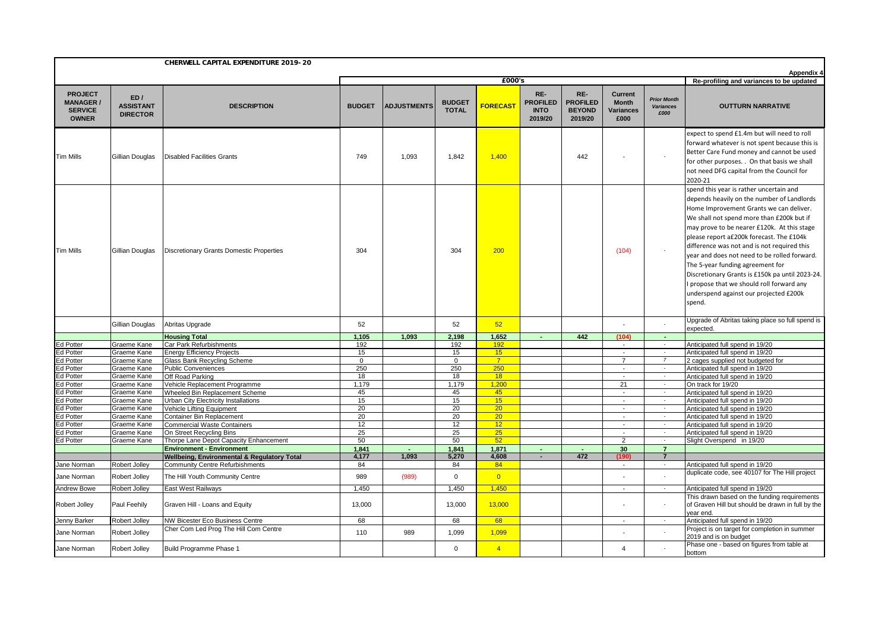|                                                                      |                                            | CHERWELL CAPITAL EXPENDITURE 2019-20                            |                |                    |                               |                 |                                                  |                                                    |                                                            |                                                |                                                                                                                                                                                                                                                                                                                                                                                                                                                                                                                                                                 |
|----------------------------------------------------------------------|--------------------------------------------|-----------------------------------------------------------------|----------------|--------------------|-------------------------------|-----------------|--------------------------------------------------|----------------------------------------------------|------------------------------------------------------------|------------------------------------------------|-----------------------------------------------------------------------------------------------------------------------------------------------------------------------------------------------------------------------------------------------------------------------------------------------------------------------------------------------------------------------------------------------------------------------------------------------------------------------------------------------------------------------------------------------------------------|
|                                                                      |                                            |                                                                 |                |                    |                               | £000's          |                                                  |                                                    |                                                            |                                                | Appendix 4<br>Re-profiling and variances to be updated                                                                                                                                                                                                                                                                                                                                                                                                                                                                                                          |
| <b>PROJECT</b><br><b>MANAGER /</b><br><b>SERVICE</b><br><b>OWNER</b> | ED/<br><b>ASSISTANT</b><br><b>DIRECTOR</b> | <b>DESCRIPTION</b>                                              | <b>BUDGET</b>  | <b>ADJUSTMENTS</b> | <b>BUDGET</b><br><b>TOTAL</b> | <b>FORECAST</b> | RE-<br><b>PROFILED</b><br><b>INTO</b><br>2019/20 | RE-<br><b>PROFILED</b><br><b>BEYOND</b><br>2019/20 | <b>Current</b><br><b>Month</b><br><b>Variances</b><br>£000 | <b>Prior Month</b><br><b>Variances</b><br>£000 | <b>OUTTURN NARRATIVE</b>                                                                                                                                                                                                                                                                                                                                                                                                                                                                                                                                        |
| <b>Tim Mills</b>                                                     | Gillian Douglas                            | <b>Disabled Facilities Grants</b>                               | 749            | 1,093              | 1,842                         | 1,400           |                                                  | 442                                                |                                                            | $\overline{\phantom{a}}$                       | expect to spend £1.4m but will need to roll<br>forward whatever is not spent because this is<br>Better Care Fund money and cannot be used<br>for other purposes. . On that basis we shall<br>not need DFG capital from the Council for<br>2020-21                                                                                                                                                                                                                                                                                                               |
| <b>Tim Mills</b>                                                     | Gillian Douglas                            | <b>Discretionary Grants Domestic Properties</b>                 | 304            |                    | 304                           | 200             |                                                  |                                                    | (104)                                                      | $\sim$                                         | spend this year is rather uncertain and<br>depends heavily on the number of Landlords<br>Home Improvement Grants we can deliver.<br>We shall not spend more than £200k but if<br>may prove to be nearer £120k. At this stage<br>please report a£200k forecast. The £104k<br>difference was not and is not required this<br>year and does not need to be rolled forward.<br>The 5-year funding agreement for<br>Discretionary Grants is £150k pa until 2023-24.<br>I propose that we should roll forward any<br>underspend against our projected £200k<br>spend. |
|                                                                      | Gillian Douglas                            | Abritas Upgrade                                                 | 52             |                    | 52                            | 52              |                                                  |                                                    |                                                            |                                                | Upgrade of Abritas taking place so full spend is<br>expected.                                                                                                                                                                                                                                                                                                                                                                                                                                                                                                   |
|                                                                      |                                            | <b>Housing Total</b>                                            | 1.105          | 1.093              | 2.198                         | 1.652           |                                                  | 442                                                | (104)                                                      |                                                |                                                                                                                                                                                                                                                                                                                                                                                                                                                                                                                                                                 |
| <b>Ed Potter</b>                                                     | Graeme Kane                                | Car Park Refurbishments                                         | 192            |                    | 192                           | 192             |                                                  |                                                    | $\overline{\phantom{a}}$                                   | $\sim$                                         | Anticipated full spend in 19/20                                                                                                                                                                                                                                                                                                                                                                                                                                                                                                                                 |
| Ed Potter                                                            | Graeme Kane                                | <b>Energy Efficiency Projects</b>                               | 15             |                    | 15                            | 15              |                                                  |                                                    | $\sim$                                                     | $\sim$                                         | Anticipated full spend in 19/20                                                                                                                                                                                                                                                                                                                                                                                                                                                                                                                                 |
| Ed Potter                                                            | Graeme Kane                                | Glass Bank Recycling Scheme                                     | $\overline{0}$ |                    | $\mathsf 0$                   | $\overline{7}$  |                                                  |                                                    | $\overline{7}$                                             | $\overline{7}$                                 | 2 cages supplied not budgeted for                                                                                                                                                                                                                                                                                                                                                                                                                                                                                                                               |
| <b>Ed Potter</b>                                                     | Graeme Kane                                | <b>Public Conveniences</b>                                      | 250            |                    | 250                           | 250             |                                                  |                                                    | $\sim$                                                     | $\sim$                                         | Anticipated full spend in 19/20                                                                                                                                                                                                                                                                                                                                                                                                                                                                                                                                 |
| Ed Potter                                                            | Graeme Kane                                | Off Road Parking                                                | 18             |                    | 18                            | 18              |                                                  |                                                    |                                                            | $\sim$                                         | Anticipated full spend in 19/20                                                                                                                                                                                                                                                                                                                                                                                                                                                                                                                                 |
| Ed Potter                                                            | Graeme Kane                                | Vehicle Replacement Programme<br>Wheeled Bin Replacement Scheme | 1.179<br>45    |                    | 1.179                         | 1,200<br>45     |                                                  |                                                    | 21<br>$\overline{\phantom{a}}$                             | $\sim$                                         | On track for 19/20                                                                                                                                                                                                                                                                                                                                                                                                                                                                                                                                              |
| Ed Potter<br>Ed Potter                                               | Graeme Kane<br>Graeme Kane                 | Urban City Electricity Installations                            | 15             |                    | 45<br>15                      | 15              |                                                  |                                                    |                                                            |                                                | Anticipated full spend in 19/20<br>Anticipated full spend in 19/20                                                                                                                                                                                                                                                                                                                                                                                                                                                                                              |
| Ed Potter                                                            | Graeme Kane                                | Vehicle Lifting Equipment                                       | 20             |                    | 20                            | 20              |                                                  |                                                    | $\overline{\phantom{a}}$                                   | $\sim$                                         | Anticipated full spend in 19/20                                                                                                                                                                                                                                                                                                                                                                                                                                                                                                                                 |
| Ed Potter                                                            | Graeme Kane                                | Container Bin Replacement                                       | 20             |                    | 20                            | 20 <sup>2</sup> |                                                  |                                                    | $\sim$                                                     | $\sim$                                         | Anticipated full spend in 19/20                                                                                                                                                                                                                                                                                                                                                                                                                                                                                                                                 |
| Ed Potter                                                            | Graeme Kane                                | <b>Commercial Waste Containers</b>                              | 12             |                    | 12                            | 12 <sup>2</sup> |                                                  |                                                    | $\sim$                                                     |                                                | Anticipated full spend in 19/20                                                                                                                                                                                                                                                                                                                                                                                                                                                                                                                                 |
| Ed Potter                                                            | Graeme Kane                                | On Street Recycling Bins                                        | 25             |                    | 25                            | 25              |                                                  |                                                    | $\overline{\phantom{a}}$                                   | $\sim$                                         | Anticipated full spend in 19/20                                                                                                                                                                                                                                                                                                                                                                                                                                                                                                                                 |
| <b>Ed Potter</b>                                                     | Graeme Kane                                | Thorpe Lane Depot Capacity Enhancement                          | 50             |                    | 50                            | 52              |                                                  |                                                    | 2                                                          | $\sim$                                         | Slight Overspend in 19/20                                                                                                                                                                                                                                                                                                                                                                                                                                                                                                                                       |
|                                                                      |                                            | <b>Environment - Environment</b>                                | 1,841          |                    | 1,841                         | 1,871           | $\sim$                                           | $\sim$                                             | 30                                                         | $\overline{7}$                                 |                                                                                                                                                                                                                                                                                                                                                                                                                                                                                                                                                                 |
|                                                                      |                                            | Wellbeing, Environmental & Regulatory Total                     | 4,177          | 1.093              | 5.270                         | 4.608           | $\sim$                                           | 472                                                | (190)                                                      | $\overline{7}$                                 |                                                                                                                                                                                                                                                                                                                                                                                                                                                                                                                                                                 |
| Jane Norman                                                          | Robert Jolley                              | <b>Community Centre Refurbishments</b>                          | 84             |                    | 84                            | 84              |                                                  |                                                    | $\overline{\phantom{a}}$                                   |                                                | Anticipated full spend in 19/20                                                                                                                                                                                                                                                                                                                                                                                                                                                                                                                                 |
| Jane Norman                                                          | Robert Jolley                              | The Hill Youth Community Centre                                 | 989            | (989)              | $\mathbf 0$                   | $\overline{0}$  |                                                  |                                                    |                                                            |                                                | duplicate code, see 40107 for The Hill project                                                                                                                                                                                                                                                                                                                                                                                                                                                                                                                  |
| Andrew Bowe                                                          | Robert Jolley                              | East West Railways                                              | 1,450          |                    | 1,450                         | 1,450           |                                                  |                                                    | $\overline{\phantom{a}}$                                   | $\sim$                                         | Anticipated full spend in 19/20                                                                                                                                                                                                                                                                                                                                                                                                                                                                                                                                 |
| Robert Jolley                                                        | Paul Feehily                               | Graven Hill - Loans and Equity                                  | 13,000         |                    | 13,000                        | 13,000          |                                                  |                                                    |                                                            | $\sim$                                         | This drawn based on the funding requirements<br>of Graven Hill but should be drawn in full by the<br>year end.                                                                                                                                                                                                                                                                                                                                                                                                                                                  |
| Jenny Barker                                                         | Robert Jolley                              | NW Bicester Eco Business Centre                                 | 68             |                    | 68                            | 68              |                                                  |                                                    | $\overline{a}$                                             | $\sim$                                         | Anticipated full spend in 19/20                                                                                                                                                                                                                                                                                                                                                                                                                                                                                                                                 |
| Jane Norman                                                          | Robert Jolley                              | Cher Com Led Prog The Hill Com Centre                           | 110            | 989                | 1,099                         | 1,099           |                                                  |                                                    |                                                            |                                                | Project is on target for completion in summer<br>2019 and is on budget                                                                                                                                                                                                                                                                                                                                                                                                                                                                                          |
| Jane Norman                                                          | Robert Jollev                              | Build Programme Phase 1                                         |                |                    | $\Omega$                      | $\overline{4}$  |                                                  |                                                    | $\overline{4}$                                             |                                                | Phase one - based on figures from table at<br>bottom                                                                                                                                                                                                                                                                                                                                                                                                                                                                                                            |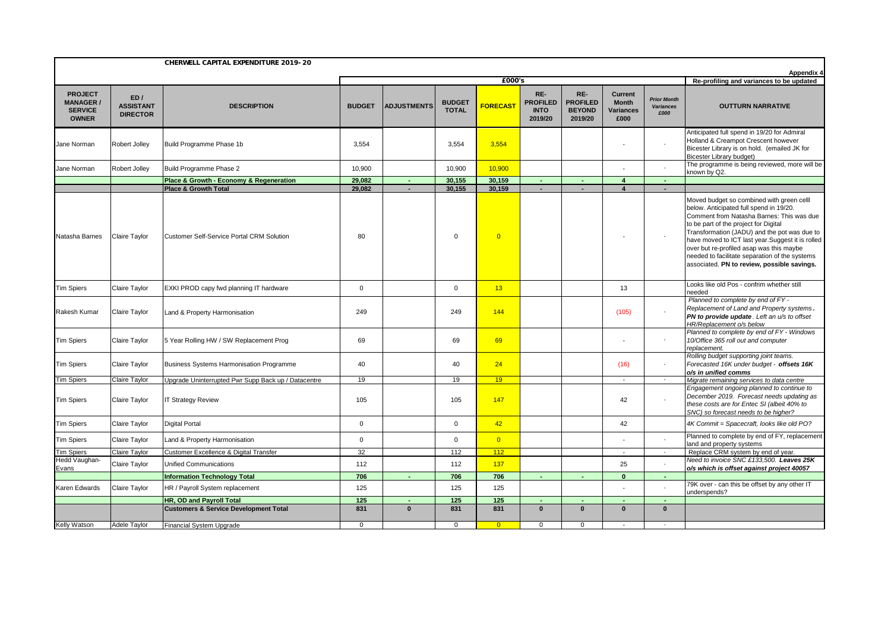| <b>PROJECT</b><br><b>MANAGER/</b><br><b>SERVICE</b><br><b>OWNER</b> | ED/<br><b>ASSISTANT</b><br><b>DIRECTOR</b><br>Robert Jolley<br>Robert Jolley | <b>DESCRIPTION</b><br>Build Programme Phase 1b<br>Build Programme Phase 2<br>Place & Growth - Economy & Regeneration<br><b>Place &amp; Growth Total</b> | <b>BUDGET</b><br>3,554<br>10,900<br>29.082<br>29.082 | <b>ADJUSTMENTS</b> | <b>BUDGET</b><br><b>TOTAL</b><br>3,554 | <b>FORECAST</b><br>3,554 | RE-<br><b>PROFILED</b><br><b>INTO</b><br>2019/20 | RE-<br><b>PROFILED</b><br><b>BEYOND</b><br>2019/20 | <b>Current</b><br><b>Month</b><br>Variances<br>£000 | <b>Prior Month</b><br><b>Variances</b><br>£000 | <b>OUTTURN NARRATIVE</b><br>Anticipated full spend in 19/20 for Admiral<br>Holland & Creampot Crescent however                                                                                                                                                                                                                                                                                                              |
|---------------------------------------------------------------------|------------------------------------------------------------------------------|---------------------------------------------------------------------------------------------------------------------------------------------------------|------------------------------------------------------|--------------------|----------------------------------------|--------------------------|--------------------------------------------------|----------------------------------------------------|-----------------------------------------------------|------------------------------------------------|-----------------------------------------------------------------------------------------------------------------------------------------------------------------------------------------------------------------------------------------------------------------------------------------------------------------------------------------------------------------------------------------------------------------------------|
| Jane Norman<br>Jane Norman                                          |                                                                              |                                                                                                                                                         |                                                      |                    |                                        |                          |                                                  |                                                    |                                                     |                                                |                                                                                                                                                                                                                                                                                                                                                                                                                             |
|                                                                     |                                                                              |                                                                                                                                                         |                                                      |                    |                                        |                          |                                                  |                                                    |                                                     |                                                | Bicester Library is on hold. (emailed JK for<br><b>Bicester Library budget)</b>                                                                                                                                                                                                                                                                                                                                             |
|                                                                     |                                                                              |                                                                                                                                                         |                                                      |                    | 10,900                                 | 10,900                   |                                                  |                                                    |                                                     |                                                | The programme is being reviewed, more will be<br>known by Q2.                                                                                                                                                                                                                                                                                                                                                               |
|                                                                     |                                                                              |                                                                                                                                                         |                                                      |                    | 30.155                                 | 30,159                   |                                                  |                                                    | $\overline{4}$                                      |                                                |                                                                                                                                                                                                                                                                                                                                                                                                                             |
|                                                                     |                                                                              |                                                                                                                                                         |                                                      | $\sim$             | 30.155                                 | 30.159                   | $\sim$                                           | $\sim$                                             | $\overline{\mathbf{4}}$                             | $\sim$                                         |                                                                                                                                                                                                                                                                                                                                                                                                                             |
| Natasha Barnes                                                      | Claire Taylor                                                                | <b>Customer Self-Service Portal CRM Solution</b>                                                                                                        | 80                                                   |                    | $\Omega$                               | $\overline{0}$           |                                                  |                                                    |                                                     |                                                | Moved budget so combined with green celll<br>below. Anticipated full spend in 19/20.<br>Comment from Natasha Barnes: This was due<br>to be part of the project for Digital<br>Transformation (JADU) and the pot was due to<br>have moved to ICT last year.Suggest it is rolled<br>over but re-profiled asap was this maybe<br>needed to facilitate separation of the systems<br>associated. PN to review, possible savings. |
| <b>Tim Spiers</b>                                                   | Claire Taylor                                                                | EXKI PROD capy fwd planning IT hardware                                                                                                                 | $\mathbf{0}$                                         |                    | $\mathbf 0$                            | 13                       |                                                  |                                                    | 13                                                  |                                                | Looks like old Pos - confrim whether still<br>needed                                                                                                                                                                                                                                                                                                                                                                        |
| Rakesh Kumar                                                        | Claire Taylor                                                                | Land & Property Harmonisation                                                                                                                           | 249                                                  |                    | 249                                    | 144                      |                                                  |                                                    | (105)                                               |                                                | Planned to complete by end of FY -<br>Replacement of Land and Property systems.<br>PN to provide update. Left an u/s to offset<br>HR/Replacement o/s below                                                                                                                                                                                                                                                                  |
| Tim Spiers                                                          | Claire Taylor                                                                | 5 Year Rolling HW / SW Replacement Prog                                                                                                                 | 69                                                   |                    | 69                                     | 69                       |                                                  |                                                    |                                                     |                                                | Planned to complete by end of FY - Windows<br>10/Office 365 roll out and computer<br>replacement.                                                                                                                                                                                                                                                                                                                           |
| <b>Tim Spiers</b>                                                   | <b>Claire Taylor</b>                                                         | Business Systems Harmonisation Programme                                                                                                                | 40                                                   |                    | 40                                     | 24                       |                                                  |                                                    | (16)                                                |                                                | Rolling budget supporting joint teams.<br>Forecasted 16K under budget - offsets 16K<br>o/s in unified comms                                                                                                                                                                                                                                                                                                                 |
| <b>Tim Spiers</b>                                                   | Claire Taylor                                                                | Upgrade Uninterrupted Pwr Supp Back up / Datacentre                                                                                                     | 19                                                   |                    | 19                                     | 19                       |                                                  |                                                    |                                                     | $\sim$                                         | Migrate remaining services to data centre                                                                                                                                                                                                                                                                                                                                                                                   |
| Tim Spiers                                                          | Claire Taylor                                                                | <b>IT Strategy Review</b>                                                                                                                               | 105                                                  |                    | 105                                    | 147                      |                                                  |                                                    | 42                                                  |                                                | Engagement ongoing planned to continue to<br>December 2019. Forecast needs updating as<br>these costs are for Entec SI (albeit 40% to<br>SNC) so forecast needs to be higher?                                                                                                                                                                                                                                               |
| <b>Tim Spiers</b>                                                   | Claire Taylor                                                                | <b>Digital Portal</b>                                                                                                                                   | $\mathsf 0$                                          |                    | $\mathbf 0$                            | 42                       |                                                  |                                                    | 42                                                  |                                                | 4K Commit = Spacecraft, looks like old PO?                                                                                                                                                                                                                                                                                                                                                                                  |
| <b>Tim Spiers</b>                                                   | Claire Taylor                                                                | Land & Property Harmonisation                                                                                                                           | $\mathbf{0}$                                         |                    | $\Omega$                               | $\overline{0}$           |                                                  |                                                    |                                                     |                                                | Planned to complete by end of FY, replacement<br>land and property systems                                                                                                                                                                                                                                                                                                                                                  |
| <b>Tim Spiers</b>                                                   | <b>Claire Taylor</b>                                                         | Customer Excellence & Digital Transfer                                                                                                                  | 32                                                   |                    | 112                                    | 112                      |                                                  |                                                    | $\sim$                                              | $\sim$                                         | Replace CRM system by end of year.                                                                                                                                                                                                                                                                                                                                                                                          |
| Hedd Vaughan-<br>Evans                                              | Claire Taylor                                                                | Unified Communications                                                                                                                                  | 112                                                  |                    | 112                                    | 137                      |                                                  |                                                    | 25                                                  |                                                | Need to invoice SNC £133,500. Leaves 25K<br>o/s which is offset against project 40057                                                                                                                                                                                                                                                                                                                                       |
|                                                                     |                                                                              | <b>Information Technology Total</b>                                                                                                                     | 706                                                  | п.                 | 706                                    | 706                      |                                                  |                                                    | $\Omega$                                            | $\sim$                                         |                                                                                                                                                                                                                                                                                                                                                                                                                             |
| Karen Edwards                                                       | Claire Taylor                                                                | HR / Payroll System replacement                                                                                                                         | 125                                                  |                    | 125                                    | 125                      |                                                  |                                                    |                                                     |                                                | 79K over - can this be offset by any other IT<br>underspends?                                                                                                                                                                                                                                                                                                                                                               |
|                                                                     |                                                                              | HR, OD and Payroll Total                                                                                                                                | 125                                                  |                    | 125                                    | 125                      |                                                  |                                                    |                                                     |                                                |                                                                                                                                                                                                                                                                                                                                                                                                                             |
|                                                                     |                                                                              | <b>Customers &amp; Service Development Total</b>                                                                                                        | 831                                                  | $\bf{0}$           | 831                                    | 831                      | $\bf{0}$                                         | $\mathbf{0}$                                       | $\mathbf{0}$                                        | $\mathbf{0}$                                   |                                                                                                                                                                                                                                                                                                                                                                                                                             |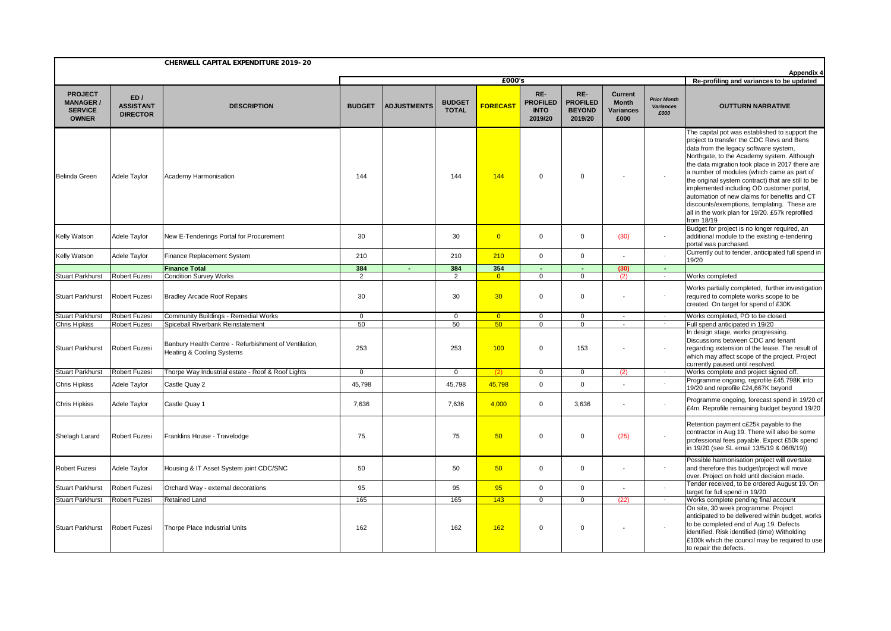|                                                                      |                                            | CHERWELL CAPITAL EXPENDITURE 2019-20                                               |               |                    |                                          |                 |                                                  |                                                    |                                                     |                                                | <b>Appendix 4</b>                                                                                                                                                                                                                                                                                                                                                                                                                                                                                                                                      |
|----------------------------------------------------------------------|--------------------------------------------|------------------------------------------------------------------------------------|---------------|--------------------|------------------------------------------|-----------------|--------------------------------------------------|----------------------------------------------------|-----------------------------------------------------|------------------------------------------------|--------------------------------------------------------------------------------------------------------------------------------------------------------------------------------------------------------------------------------------------------------------------------------------------------------------------------------------------------------------------------------------------------------------------------------------------------------------------------------------------------------------------------------------------------------|
|                                                                      |                                            |                                                                                    |               |                    | Re-profiling and variances to be updated |                 |                                                  |                                                    |                                                     |                                                |                                                                                                                                                                                                                                                                                                                                                                                                                                                                                                                                                        |
| <b>PROJECT</b><br><b>MANAGER /</b><br><b>SERVICE</b><br><b>OWNER</b> | ED/<br><b>ASSISTANT</b><br><b>DIRECTOR</b> | <b>DESCRIPTION</b>                                                                 | <b>BUDGET</b> | <b>ADJUSTMENTS</b> | <b>BUDGET</b><br><b>TOTAL</b>            | <b>FORECAST</b> | RE-<br><b>PROFILED</b><br><b>INTO</b><br>2019/20 | RE-<br><b>PROFILED</b><br><b>BEYOND</b><br>2019/20 | <b>Current</b><br><b>Month</b><br>Variances<br>£000 | <b>Prior Month</b><br><b>Variances</b><br>£000 | <b>OUTTURN NARRATIVE</b>                                                                                                                                                                                                                                                                                                                                                                                                                                                                                                                               |
| <b>Belinda Green</b>                                                 | Adele Taylor                               | Academy Harmonisation                                                              | 144           |                    | 144                                      | 144             | $\Omega$                                         | $\Omega$                                           |                                                     | $\sim$                                         | The capital pot was established to support the<br>project to transfer the CDC Revs and Bens<br>data from the legacy software system,<br>Northgate, to the Academy system. Although<br>the data migration took place in 2017 there are<br>a number of modules (which came as part of<br>the original system contract) that are still to be<br>implemented including OD customer portal,<br>automation of new claims for benefits and CT<br>discounts/exemptions, templating. These are<br>all in the work plan for 19/20. £57k reprofiled<br>from 18/19 |
| Kelly Watson                                                         | Adele Taylor                               | New E-Tenderings Portal for Procurement                                            | 30            |                    | 30                                       | $\overline{0}$  | $\Omega$                                         | $\Omega$                                           | (30)                                                | $\overline{\phantom{a}}$                       | Budget for project is no longer required, an<br>additional module to the existing e-tendering<br>portal was purchased.                                                                                                                                                                                                                                                                                                                                                                                                                                 |
| Kelly Watson                                                         | Adele Taylor                               | Finance Replacement System                                                         | 210           |                    | 210                                      | 210             | $\Omega$                                         | $\Omega$                                           |                                                     |                                                | Currently out to tender, anticipated full spend in<br>19/20                                                                                                                                                                                                                                                                                                                                                                                                                                                                                            |
|                                                                      |                                            | <b>Finance Total</b>                                                               | 384           | $\blacksquare$     | 384                                      | 354             | $\sim$                                           | $\sim$                                             | (30)                                                | $\sim$                                         |                                                                                                                                                                                                                                                                                                                                                                                                                                                                                                                                                        |
| <b>Stuart Parkhurst</b>                                              | Robert Fuzesi                              | <b>Condition Survey Works</b>                                                      | 2             |                    | $\overline{2}$                           | $\overline{0}$  | $\mathbf{0}$                                     | $\overline{0}$                                     | (2)                                                 | $\sim$                                         | Works completed                                                                                                                                                                                                                                                                                                                                                                                                                                                                                                                                        |
| <b>Stuart Parkhurst</b>                                              | <b>Robert Fuzesi</b>                       | <b>Bradley Arcade Roof Repairs</b>                                                 | 30            |                    | 30                                       | 30              | $\mathbf 0$                                      | $\mathbf 0$                                        |                                                     | $\overline{\phantom{a}}$                       | Works partially completed, further investigation<br>required to complete works scope to be<br>created. On target for spend of £30K                                                                                                                                                                                                                                                                                                                                                                                                                     |
| <b>Stuart Parkhurst</b>                                              | <b>Robert Fuzesi</b>                       | Community Buildings - Remedial Works                                               | $\mathbf 0$   |                    | $\mathbf 0$                              | $\overline{0}$  | $\mathbf{0}$                                     | $\mathbf{0}$                                       | $\sim$                                              | $\sim$                                         | Works completed, PO to be closed                                                                                                                                                                                                                                                                                                                                                                                                                                                                                                                       |
| <b>Chris Hipkiss</b>                                                 | <b>Robert Fuzesi</b>                       | Spiceball Riverbank Reinstatement                                                  | 50            |                    | 50                                       | 50              | $\Omega$                                         | $\Omega$                                           |                                                     | $\mathcal{L}_{\mathcal{A}}$                    | Full spend anticipated in 19/20                                                                                                                                                                                                                                                                                                                                                                                                                                                                                                                        |
| <b>Stuart Parkhurst</b>                                              | <b>Robert Fuzesi</b>                       | Banbury Health Centre - Refurbishment of Ventilation,<br>Heating & Cooling Systems | 253           |                    | 253                                      | 100             | $\mathbf 0$                                      | 153                                                |                                                     | $\sim$                                         | In design stage, works progressing.<br>Discussions between CDC and tenant<br>regarding extension of the lease. The result of<br>which may affect scope of the project. Project<br>currently paused until resolved.                                                                                                                                                                                                                                                                                                                                     |
| <b>Stuart Parkhurst</b>                                              | <b>Robert Fuzesi</b>                       | Thorpe Way Industrial estate - Roof & Roof Lights                                  | $\mathbf{0}$  |                    | $\Omega$                                 | (2)             | $\mathbf{0}$                                     | $\mathbf{0}$                                       | (2)                                                 | $\sim$                                         | Works complete and project signed off.                                                                                                                                                                                                                                                                                                                                                                                                                                                                                                                 |
| <b>Chris Hipkiss</b>                                                 | Adele Taylor                               | Castle Quay 2                                                                      | 45,798        |                    | 45,798                                   | 45,798          | $\mathbf 0$                                      | $\mathbf 0$                                        |                                                     | $\sim$                                         | Programme ongoing, reprofile £45,798K into<br>19/20 and reprofile £24,667K beyond                                                                                                                                                                                                                                                                                                                                                                                                                                                                      |
| <b>Chris Hipkiss</b>                                                 | Adele Taylor                               | Castle Quay 1                                                                      | 7,636         |                    | 7,636                                    | 4,000           | $\mathbf 0$                                      | 3,636                                              |                                                     | $\mathcal{L}_{\mathcal{A}}$                    | Programme ongoing, forecast spend in 19/20 of<br>£4m. Reprofile remaining budget beyond 19/20                                                                                                                                                                                                                                                                                                                                                                                                                                                          |
| Shelagh Larard                                                       | <b>Robert Fuzesi</b>                       | Franklins House - Travelodge                                                       | 75            |                    | 75                                       | 50              | $\mathbf 0$                                      | $\mathbf 0$                                        | (25)                                                | $\sim$                                         | Retention payment c£25k payable to the<br>contractor in Aug 19. There will also be some<br>professional fees payable. Expect £50k spend<br>in 19/20 (see SL email 13/5/19 & 06/8/19))                                                                                                                                                                                                                                                                                                                                                                  |
| Robert Fuzesi                                                        | Adele Taylor                               | Housing & IT Asset System joint CDC/SNC                                            | 50            |                    | 50                                       | 50              | $\mathbf 0$                                      | $\mathbf 0$                                        |                                                     | $\sim$                                         | Possible harmonisation project will overtake<br>and therefore this budget/project will move<br>over. Project on hold until decision made.                                                                                                                                                                                                                                                                                                                                                                                                              |
| <b>Stuart Parkhurst</b>                                              | <b>Robert Fuzesi</b>                       | Orchard Way - external decorations                                                 | 95            |                    | 95                                       | 95              | $\Omega$                                         | $\Omega$                                           |                                                     |                                                | Tender received, to be ordered August 19. On<br>target for full spend in 19/20                                                                                                                                                                                                                                                                                                                                                                                                                                                                         |
| <b>Stuart Parkhurst</b>                                              | <b>Robert Fuzesi</b>                       | Retained Land                                                                      | 165           |                    | 165                                      | 143             | $\mathbf 0$                                      | $\mathbf 0$                                        | (22)                                                | $\sim$                                         | Works complete pending final account                                                                                                                                                                                                                                                                                                                                                                                                                                                                                                                   |
| <b>Stuart Parkhurst</b>                                              | <b>Robert Fuzesi</b>                       | Thorpe Place Industrial Units                                                      | 162           |                    | 162                                      | 162             | $\mathbf 0$                                      | $\mathbf 0$                                        | $\overline{\phantom{a}}$                            | $\overline{\phantom{a}}$                       | On site, 30 week programme. Project<br>anticipated to be delivered within budget, works<br>to be completed end of Aug 19. Defects<br>identified. Risk identified (time) Witholding<br>£100k which the council may be required to use<br>to repair the defects.                                                                                                                                                                                                                                                                                         |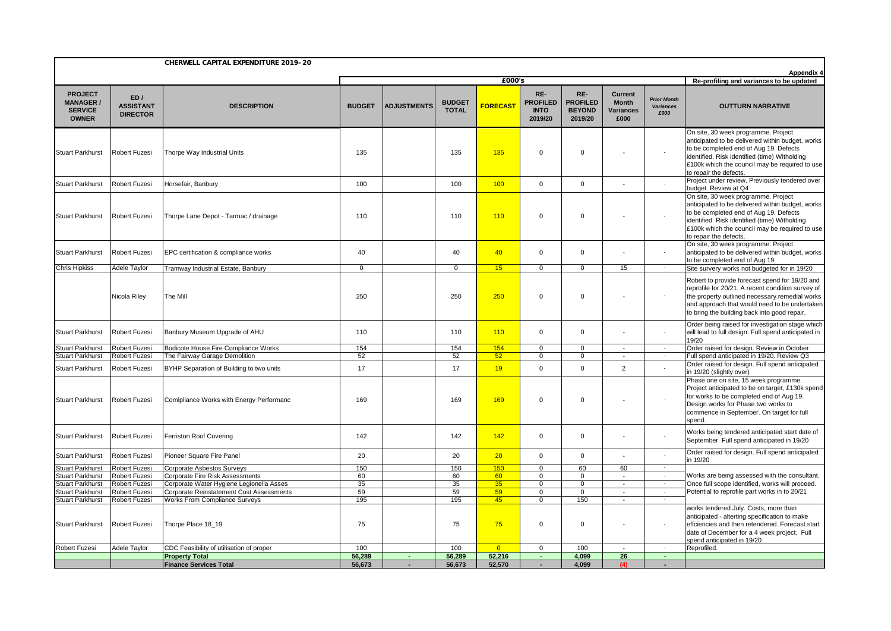|                                                                      |                                            | CHERWELL CAPITAL EXPENDITURE 2019-20                          |               |                    |                               |                 |                                                  |                                                    |                                                     |                                                        |                                                                                                                                                                                                                                                                |
|----------------------------------------------------------------------|--------------------------------------------|---------------------------------------------------------------|---------------|--------------------|-------------------------------|-----------------|--------------------------------------------------|----------------------------------------------------|-----------------------------------------------------|--------------------------------------------------------|----------------------------------------------------------------------------------------------------------------------------------------------------------------------------------------------------------------------------------------------------------------|
|                                                                      | £000's                                     |                                                               |               |                    |                               |                 |                                                  |                                                    |                                                     | Appendix 4<br>Re-profiling and variances to be updated |                                                                                                                                                                                                                                                                |
| <b>PROJECT</b><br><b>MANAGER /</b><br><b>SERVICE</b><br><b>OWNER</b> | ED/<br><b>ASSISTANT</b><br><b>DIRECTOR</b> | <b>DESCRIPTION</b>                                            | <b>BUDGET</b> | <b>ADJUSTMENTS</b> | <b>BUDGET</b><br><b>TOTAL</b> | <b>FORECAST</b> | RE-<br><b>PROFILED</b><br><b>INTO</b><br>2019/20 | RE-<br><b>PROFILED</b><br><b>BEYOND</b><br>2019/20 | <b>Current</b><br><b>Month</b><br>Variances<br>£000 | <b>Prior Month</b><br><b>Variances</b><br>£000         | <b>OUTTURN NARRATIVE</b>                                                                                                                                                                                                                                       |
| <b>Stuart Parkhurst</b>                                              | Robert Fuzesi                              | Thorpe Way Industrial Units                                   | 135           |                    | 135                           | 135             | $\mathbf 0$                                      | $\mathbf 0$                                        |                                                     |                                                        | On site, 30 week programme. Project<br>anticipated to be delivered within budget, works<br>to be completed end of Aug 19. Defects<br>identified. Risk identified (time) Witholding<br>£100k which the council may be required to use<br>to repair the defects. |
| <b>Stuart Parkhurst</b>                                              | Robert Fuzesi                              | Horsefair, Banbury                                            | 100           |                    | 100                           | 100             | $\mathbf 0$                                      | $\mathbf 0$                                        | $\overline{\phantom{a}}$                            |                                                        | Project under review. Previously tendered over<br>budget. Review at Q4                                                                                                                                                                                         |
| <b>Stuart Parkhurst</b>                                              | Robert Fuzesi                              | Thorpe Lane Depot - Tarmac / drainage                         | 110           |                    | 110                           | 110             | $\mathbf 0$                                      | $\mathbf 0$                                        |                                                     | $\sim$                                                 | On site, 30 week programme. Project<br>anticipated to be delivered within budget, works<br>to be completed end of Aug 19. Defects<br>identified. Risk identified (time) Witholding<br>£100k which the council may be required to use<br>to repair the defects. |
| <b>Stuart Parkhurst</b>                                              | <b>Robert Fuzesi</b>                       | EPC certification & compliance works                          | 40            |                    | 40                            | 40              | $\mathbf 0$                                      | $\mathbf 0$                                        |                                                     |                                                        | On site, 30 week programme. Project<br>anticipated to be delivered within budget, works<br>to be completed end of Aug 19.                                                                                                                                      |
| <b>Chris Hipkiss</b>                                                 | Adele Taylor                               | Tramway Industrial Estate, Banbury                            | $\mathbf{0}$  |                    | $\mathbf 0$                   | 15              | $\mathbf 0$                                      | $\mathbf 0$                                        | 15                                                  | $\sim$                                                 | Site survery works not budgeted for in 19/20                                                                                                                                                                                                                   |
|                                                                      | Nicola Riley                               | The Mill                                                      | 250           |                    | 250                           | 250             | $\mathbf 0$                                      | $\mathbf 0$                                        |                                                     |                                                        | Robert to provide forecast spend for 19/20 and<br>reprofile for 20/21. A recent condition survey of<br>the property outlined necessary remedial works<br>and approach that would need to be undertaken<br>to bring the building back into good repair.         |
| <b>Stuart Parkhurst</b>                                              | Robert Fuzesi                              | Banbury Museum Upgrade of AHU                                 | 110           |                    | 110                           | 110             | $\mathbf 0$                                      | $\mathbf 0$                                        |                                                     |                                                        | Order being raised for investigation stage which<br>will lead to full design. Full spend anticipated in<br>19/20                                                                                                                                               |
| <b>Stuart Parkhurst</b>                                              | Robert Fuzesi                              | Bodicote House Fire Compliance Works                          | 154           |                    | 154                           | 154             | $\mathbf{0}$                                     | $\mathbf{0}$                                       | $\sim$                                              | $\sim$                                                 | Order raised for design. Review in October                                                                                                                                                                                                                     |
| Stuart Parkhurst                                                     | Robert Fuzesi                              | The Fairway Garage Demolition                                 | 52            |                    | 52                            | 52              | 0                                                | $\mathbf 0$                                        | $\sim$                                              | $\sim$                                                 | Full spend anticipated in 19/20. Review Q3                                                                                                                                                                                                                     |
| <b>Stuart Parkhurst</b>                                              | Robert Fuzesi                              | BYHP Separation of Building to two units                      | 17            |                    | 17                            | 19              | $\mathbf 0$                                      | $\mathbf 0$                                        | $\overline{2}$                                      |                                                        | Order raised for design. Full spend anticipated<br>in 19/20 (slightly over)                                                                                                                                                                                    |
| <b>Stuart Parkhurst</b>                                              | Robert Fuzesi                              | Comlpliance Works with Energy Performanc                      | 169           |                    | 169                           | 169             | $\mathbf 0$                                      | $\mathbf 0$                                        |                                                     |                                                        | Phase one on site, 15 week programme.<br>Project anticipated to be on target, £130k spend<br>for works to be completed end of Aug 19.<br>Design works for Phase two works to<br>commence in September. On target for full<br>spend.                            |
| <b>Stuart Parkhurst</b>                                              | <b>Robert Fuzesi</b>                       | Ferriston Roof Covering                                       | 142           |                    | 142                           | 142             | $\mathbf 0$                                      | $\mathbf 0$                                        |                                                     | $\sim$                                                 | Works being tendered anticipated start date of<br>September. Full spend anticipated in 19/20                                                                                                                                                                   |
| <b>Stuart Parkhurst</b>                                              | Robert Fuzesi                              | Pioneer Square Fire Panel                                     | 20            |                    | 20                            | 20 <sup>°</sup> | $\mathbf 0$                                      | $\mathbf 0$                                        | $\overline{\phantom{a}}$                            | $\sim$                                                 | Order raised for design. Full spend anticipated<br>n 19/20                                                                                                                                                                                                     |
| <b>Stuart Parkhurst</b><br><b>Stuart Parkhurst</b>                   | Robert Fuzesi<br>Robert Fuzesi             | Corporate Asbestos Surveys<br>Corporate Fire Risk Assessments | 150<br>60     |                    | 150<br>60                     | 150<br>60       | $\mathbf 0$<br>$\mathbf 0$                       | 60<br>$\mathbf 0$                                  | 60                                                  | $\sim$<br>$\sim$                                       | Works are being assessed with the consultant.                                                                                                                                                                                                                  |
| <b>Stuart Parkhurst</b>                                              | Robert Fuzesi                              | Corporate Water Hygiene Legionella Asses                      | 35            |                    | 35                            | 35              | $\mathbf 0$                                      | $\mathbf 0$                                        | $\overline{\phantom{a}}$                            | $\sim$                                                 | Once full scope identified, works will proceed.                                                                                                                                                                                                                |
| <b>Stuart Parkhurst</b>                                              | Robert Fuzesi                              | Corporate Reinstatement Cost Assessments                      | 59            |                    | 59                            | 59              | $\mathbf 0$                                      | $\mathbf 0$                                        | $\overline{\phantom{a}}$                            | $\sim$                                                 | Potential to reprofile part works in to 20/21                                                                                                                                                                                                                  |
| <b>Stuart Parkhurst</b>                                              | Robert Fuzesi                              | <b>Works From Compliance Surveys</b>                          | 195           |                    | 195                           | 45              | $\mathbf 0$                                      | 150                                                |                                                     |                                                        |                                                                                                                                                                                                                                                                |
| <b>Stuart Parkhurst</b>                                              | Robert Fuzesi                              | Thorpe Place 18_19                                            | 75            |                    | 75                            | 75              | $\mathbf 0$                                      | $\mathbf 0$                                        |                                                     | $\sim$                                                 | works tendered July. Costs, more than<br>anticipated - alterting specification to make<br>effciencies and then retendered. Forecast start<br>date of December for a 4 week project. Full<br>spend anticipated in 19/20                                         |
| Robert Fuzesi                                                        | Adele Taylor                               | CDC Feasibility of utilisation of proper                      | 100           |                    | 100                           | $\overline{0}$  | $\mathbf 0$                                      | 100                                                |                                                     | $\sim$                                                 | Reprofiled.                                                                                                                                                                                                                                                    |
|                                                                      |                                            | <b>Property Total</b>                                         | 56,289        |                    | 56,289                        | 52,216          | ٠                                                | 4,099                                              | 26                                                  | $\sim$                                                 |                                                                                                                                                                                                                                                                |
|                                                                      |                                            | <b>Finance Services Total</b>                                 | 56,673        |                    | 56.673                        | 52,570          |                                                  | 4,099                                              | (4)                                                 |                                                        |                                                                                                                                                                                                                                                                |